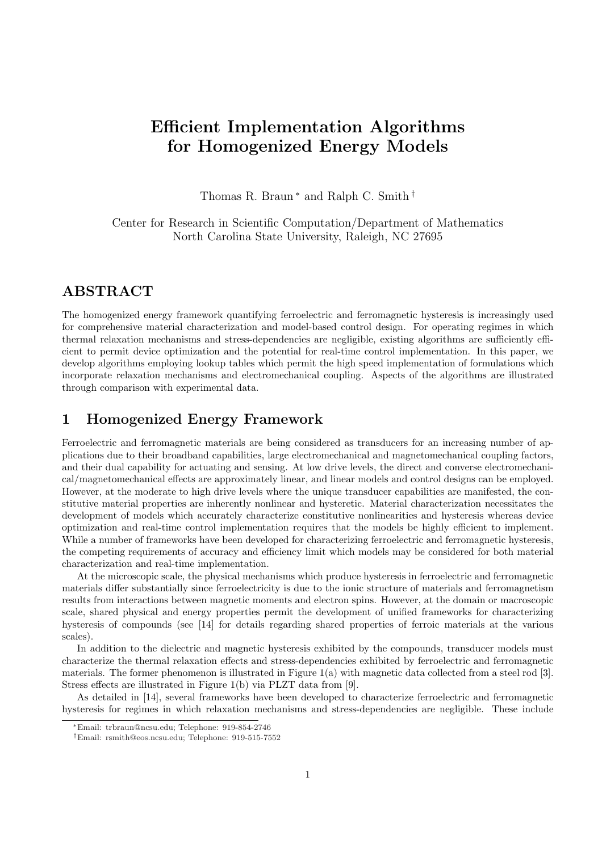# Efficient Implementation Algorithms for Homogenized Energy Models

Thomas R. Braun <sup>∗</sup> and Ralph C. Smith †

Center for Research in Scientific Computation/Department of Mathematics North Carolina State University, Raleigh, NC 27695

# ABSTRACT

The homogenized energy framework quantifying ferroelectric and ferromagnetic hysteresis is increasingly used for comprehensive material characterization and model-based control design. For operating regimes in which thermal relaxation mechanisms and stress-dependencies are negligible, existing algorithms are sufficiently efficient to permit device optimization and the potential for real-time control implementation. In this paper, we develop algorithms employing lookup tables which permit the high speed implementation of formulations which incorporate relaxation mechanisms and electromechanical coupling. Aspects of the algorithms are illustrated through comparison with experimental data.

# 1 Homogenized Energy Framework

Ferroelectric and ferromagnetic materials are being considered as transducers for an increasing number of applications due to their broadband capabilities, large electromechanical and magnetomechanical coupling factors, and their dual capability for actuating and sensing. At low drive levels, the direct and converse electromechanical/magnetomechanical effects are approximately linear, and linear models and control designs can be employed. However, at the moderate to high drive levels where the unique transducer capabilities are manifested, the constitutive material properties are inherently nonlinear and hysteretic. Material characterization necessitates the development of models which accurately characterize constitutive nonlinearities and hysteresis whereas device optimization and real-time control implementation requires that the models be highly efficient to implement. While a number of frameworks have been developed for characterizing ferroelectric and ferromagnetic hysteresis, the competing requirements of accuracy and efficiency limit which models may be considered for both material characterization and real-time implementation.

At the microscopic scale, the physical mechanisms which produce hysteresis in ferroelectric and ferromagnetic materials differ substantially since ferroelectricity is due to the ionic structure of materials and ferromagnetism results from interactions between magnetic moments and electron spins. However, at the domain or macroscopic scale, shared physical and energy properties permit the development of unified frameworks for characterizing hysteresis of compounds (see [14] for details regarding shared properties of ferroic materials at the various scales).

In addition to the dielectric and magnetic hysteresis exhibited by the compounds, transducer models must characterize the thermal relaxation effects and stress-dependencies exhibited by ferroelectric and ferromagnetic materials. The former phenomenon is illustrated in Figure  $1(a)$  with magnetic data collected from a steel rod [3]. Stress effects are illustrated in Figure 1(b) via PLZT data from [9].

As detailed in [14], several frameworks have been developed to characterize ferroelectric and ferromagnetic hysteresis for regimes in which relaxation mechanisms and stress-dependencies are negligible. These include

<sup>∗</sup>Email: trbraun@ncsu.edu; Telephone: 919-854-2746

<sup>†</sup>Email: rsmith@eos.ncsu.edu; Telephone: 919-515-7552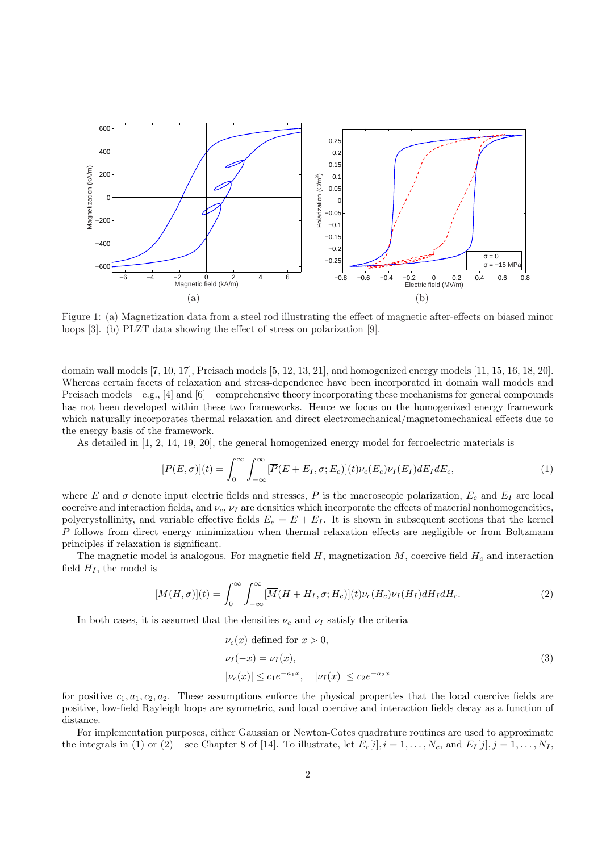

Figure 1: (a) Magnetization data from a steel rod illustrating the effect of magnetic after-effects on biased minor loops [3]. (b) PLZT data showing the effect of stress on polarization [9].

domain wall models [7, 10, 17], Preisach models [5, 12, 13, 21], and homogenized energy models [11, 15, 16, 18, 20]. Whereas certain facets of relaxation and stress-dependence have been incorporated in domain wall models and Preisach models – e.g., [4] and  $[6]$  – comprehensive theory incorporating these mechanisms for general compounds has not been developed within these two frameworks. Hence we focus on the homogenized energy framework which naturally incorporates thermal relaxation and direct electromechanical/magnetomechanical effects due to the energy basis of the framework.

As detailed in [1, 2, 14, 19, 20], the general homogenized energy model for ferroelectric materials is

$$
[P(E,\sigma)](t) = \int_0^\infty \int_{-\infty}^\infty [\overline{P}(E+E_I,\sigma;E_c)](t)\nu_c(E_c)\nu_I(E_I)dE_IdE_c,
$$
\n(1)

where E and  $\sigma$  denote input electric fields and stresses, P is the macroscopic polarization,  $E_c$  and  $E_I$  are local coercive and interaction fields, and  $\nu_c$ ,  $\nu_I$  are densities which incorporate the effects of material nonhomogeneities, polycrystallinity, and variable effective fields  $E_e = E + E_I$ . It is shown in subsequent sections that the kernel  $\overline{P}$  follows from direct energy minimization when thermal relaxation effects are negligible or from Boltzmann principles if relaxation is significant.

The magnetic model is analogous. For magnetic field  $H$ , magnetization  $M$ , coercive field  $H_c$  and interaction field  $H_I$ , the model is

$$
[M(H,\sigma)](t) = \int_0^\infty \int_{-\infty}^\infty [\overline{M}(H+H_I,\sigma;H_c)](t)\nu_c(H_c)\nu_I(H_I)dH_I dH_c.
$$
\n(2)

In both cases, it is assumed that the densities  $\nu_c$  and  $\nu_I$  satisfy the criteria

$$
\nu_c(x) \text{ defined for } x > 0,
$$
  
\n
$$
\nu_I(-x) = \nu_I(x),
$$
  
\n
$$
|\nu_c(x)| \le c_1 e^{-a_1 x}, \quad |\nu_I(x)| \le c_2 e^{-a_2 x}
$$
\n(3)

for positive  $c_1, a_1, c_2, a_3$ . These assumptions enforce the physical properties that the local coercive fields are positive, low-field Rayleigh loops are symmetric, and local coercive and interaction fields decay as a function of distance.

For implementation purposes, either Gaussian or Newton-Cotes quadrature routines are used to approximate the integrals in (1) or (2) – see Chapter 8 of [14]. To illustrate, let  $E_c[i], i = 1, \ldots, N_c$ , and  $E_I[j], j = 1, \ldots, N_I$ ,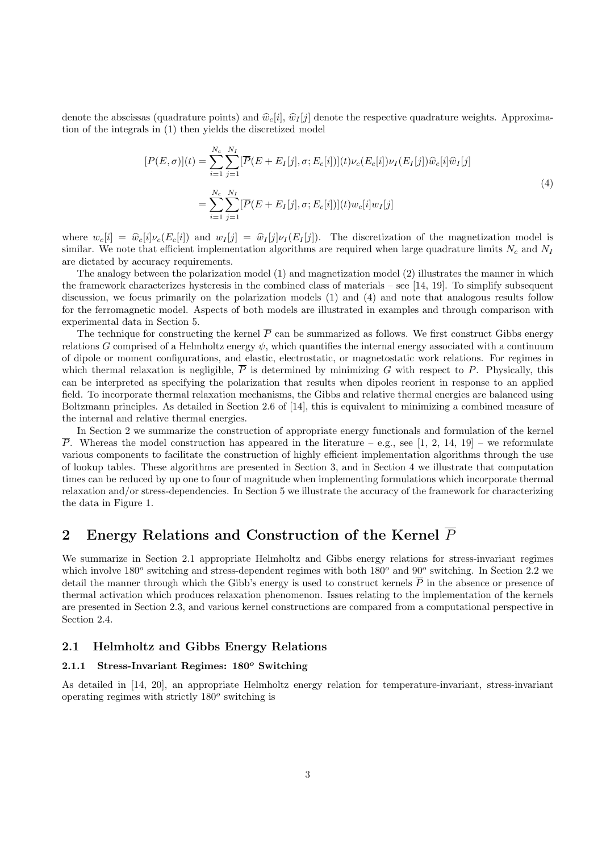denote the abscissas (quadrature points) and  $\hat{w}_c[i], \hat{w}_I[j]$  denote the respective quadrature weights. Approximation of the integrals in (1) then yields the discretized model

$$
[P(E,\sigma)](t) = \sum_{i=1}^{N_c} \sum_{j=1}^{N_I} [\overline{P}(E + E_I[j], \sigma; E_c[i])](t) \nu_c(E_c[i]) \nu_I(E_I[j]) \widehat{w}_c[i] \widehat{w}_I[j]
$$
  

$$
= \sum_{i=1}^{N_c} \sum_{j=1}^{N_I} [\overline{P}(E + E_I[j], \sigma; E_c[i])](t) w_c[i] w_I[j]
$$
 (4)

where  $w_c[i] = \hat{w}_c[i]\nu_c(E_c[i])$  and  $w_I[j] = \hat{w}_I[j]\nu_I(E_I[j])$ . The discretization of the magnetization model is similar. We note that efficient implementation algorithms are required when large quadrature limits  $N_c$  and  $N_I$ are dictated by accuracy requirements.

The analogy between the polarization model (1) and magnetization model (2) illustrates the manner in which the framework characterizes hysteresis in the combined class of materials – see [14, 19]. To simplify subsequent discussion, we focus primarily on the polarization models (1) and (4) and note that analogous results follow for the ferromagnetic model. Aspects of both models are illustrated in examples and through comparison with experimental data in Section 5.

The technique for constructing the kernel  $\overline{P}$  can be summarized as follows. We first construct Gibbs energy relations G comprised of a Helmholtz energy  $\psi$ , which quantifies the internal energy associated with a continuum of dipole or moment configurations, and elastic, electrostatic, or magnetostatic work relations. For regimes in which thermal relaxation is negligible,  $\overline{P}$  is determined by minimizing G with respect to P. Physically, this can be interpreted as specifying the polarization that results when dipoles reorient in response to an applied field. To incorporate thermal relaxation mechanisms, the Gibbs and relative thermal energies are balanced using Boltzmann principles. As detailed in Section 2.6 of [14], this is equivalent to minimizing a combined measure of the internal and relative thermal energies.

In Section 2 we summarize the construction of appropriate energy functionals and formulation of the kernel  $\overline{P}$ . Whereas the model construction has appeared in the literature – e.g., see [1, 2, 14, 19] – we reformulate various components to facilitate the construction of highly efficient implementation algorithms through the use of lookup tables. These algorithms are presented in Section 3, and in Section 4 we illustrate that computation times can be reduced by up one to four of magnitude when implementing formulations which incorporate thermal relaxation and/or stress-dependencies. In Section 5 we illustrate the accuracy of the framework for characterizing the data in Figure 1.

# 2 Energy Relations and Construction of the Kernel P

We summarize in Section 2.1 appropriate Helmholtz and Gibbs energy relations for stress-invariant regimes which involve  $180^{\circ}$  switching and stress-dependent regimes with both  $180^{\circ}$  and  $90^{\circ}$  switching. In Section 2.2 we detail the manner through which the Gibb's energy is used to construct kernels  $\overline{P}$  in the absence or presence of thermal activation which produces relaxation phenomenon. Issues relating to the implementation of the kernels are presented in Section 2.3, and various kernel constructions are compared from a computational perspective in Section 2.4.

### 2.1 Helmholtz and Gibbs Energy Relations

### 2.1.1 Stress-Invariant Regimes:  $180^\circ$  Switching

As detailed in [14, 20], an appropriate Helmholtz energy relation for temperature-invariant, stress-invariant operating regimes with strictly  $180^{\circ}$  switching is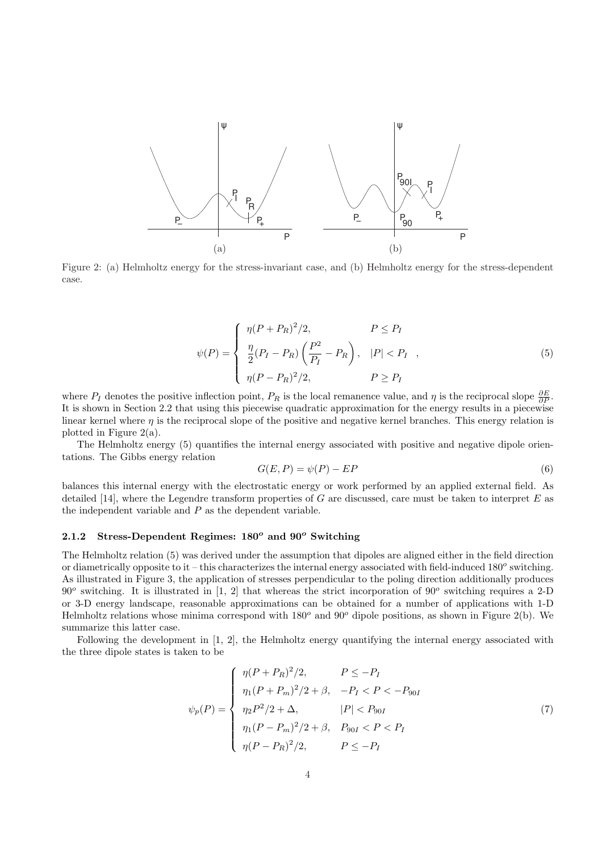

Figure 2: (a) Helmholtz energy for the stress-invariant case, and (b) Helmholtz energy for the stress-dependent case.

$$
\psi(P) = \begin{cases}\n\eta(P + P_R)^2/2, & P \le P_I \\
\frac{\eta}{2}(P_I - P_R) \left(\frac{P^2}{P_I} - P_R\right), & |P| < P_I, \\
\eta(P - P_R)^2/2, & P \ge P_I\n\end{cases} (5)
$$

where  $P_I$  denotes the positive inflection point,  $P_R$  is the local remanence value, and  $\eta$  is the reciprocal slope  $\frac{\partial E}{\partial P}$ . It is shown in Section 2.2 that using this piecewise quadratic approximation for the energy results in a piecewise linear kernel where  $\eta$  is the reciprocal slope of the positive and negative kernel branches. This energy relation is plotted in Figure 2(a).

The Helmholtz energy (5) quantifies the internal energy associated with positive and negative dipole orientations. The Gibbs energy relation

$$
G(E, P) = \psi(P) - EP \tag{6}
$$

balances this internal energy with the electrostatic energy or work performed by an applied external field. As detailed [14], where the Legendre transform properties of G are discussed, care must be taken to interpret  $E$  as the independent variable and P as the dependent variable.

#### 2.1.2 Stress-Dependent Regimes:  $180^{\circ}$  and  $90^{\circ}$  Switching

The Helmholtz relation (5) was derived under the assumption that dipoles are aligned either in the field direction or diametrically opposite to it – this characterizes the internal energy associated with field-induced  $180^{\circ}$  switching. As illustrated in Figure 3, the application of stresses perpendicular to the poling direction additionally produces  $90^{\circ}$  switching. It is illustrated in [1, 2] that whereas the strict incorporation of  $90^{\circ}$  switching requires a 2-D or 3-D energy landscape, reasonable approximations can be obtained for a number of applications with 1-D Helmholtz relations whose minima correspond with  $180^\circ$  and  $90^\circ$  dipole positions, as shown in Figure 2(b). We summarize this latter case.

Following the development in [1, 2], the Helmholtz energy quantifying the internal energy associated with the three dipole states is taken to be

$$
\psi_p(P) = \begin{cases}\n\eta(P + P_R)^2/2, & P \le -P_I \\
\eta_1(P + P_m)^2/2 + \beta, & -P_I < P < -P_{90I} \\
\eta_2 P^2/2 + \Delta, & |P| < P_{90I} \\
\eta_1(P - P_m)^2/2 + \beta, & P_{90I} < P < P_I \\
\eta(P - P_R)^2/2, & P \le -P_I\n\end{cases} \tag{7}
$$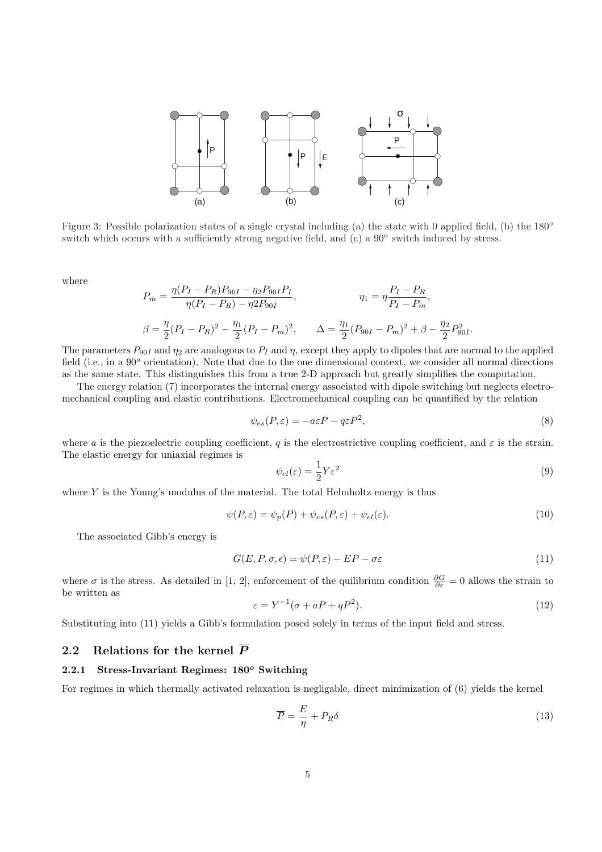

Figure 3: Possible polarization states of a single crystal including (a) the state with 0 applied field, (b) the  $180^\circ$ switch which occurs with a sufficiently strong negative field, and  $(c)$  a  $90^{\circ}$  switch induced by stress.

where

$$
P_m = \frac{\eta (P_I - P_R) P_{90I} - \eta_2 P_{90I} P_I}{\eta (P_I - P_R) - \eta_2 P_{90I}}, \qquad \eta_1 = \eta \frac{P_I - P_R}{P_I - P_m},
$$
  

$$
\beta = \frac{\eta}{2} (P_I - P_R)^2 - \frac{\eta_1}{2} (P_I - P_m)^2, \qquad \Delta = \frac{\eta_1}{2} (P_{90I} - P_m)^2 + \beta - \frac{\eta_2}{2} P_{90I}^2.
$$

The parameters  $P_{90I}$  and  $\eta_2$  are analogous to  $P_I$  and  $\eta$ , except they apply to dipoles that are normal to the applied field (i.e., in a  $90^{\circ}$  orientation). Note that due to the one dimensional context, we consider all normal directions as the same state. This distinguishes this from a true 2-D approach but greatly simplifies the computation.

The energy relation (7) incorporates the internal energy associated with dipole switching but neglects electromechanical coupling and elastic contributions. Electromechanical coupling can be quantified by the relation

$$
\psi_{es}(P,\varepsilon) = -a\varepsilon P - q\varepsilon P^2,\tag{8}
$$

where a is the piezoelectric coupling coefficient, q is the electrostrictive coupling coefficient, and  $\varepsilon$  is the strain. The elastic energy for uniaxial regimes is

$$
\psi_{el}(\varepsilon) = \frac{1}{2} Y \varepsilon^2 \tag{9}
$$

where  $Y$  is the Young's modulus of the material. The total Helmholtz energy is thus

$$
\psi(P,\varepsilon) = \psi_p(P) + \psi_{es}(P,\varepsilon) + \psi_{el}(\varepsilon). \tag{10}
$$

The associated Gibb's energy is

$$
G(E, P, \sigma, \epsilon) = \psi(P, \epsilon) - EP - \sigma \epsilon \tag{11}
$$

where  $\sigma$  is the stress. As detailed in [1, 2], enforcement of the quilibrium condition  $\frac{\partial G}{\partial \varepsilon} = 0$  allows the strain to be written as

$$
\varepsilon = Y^{-1}(\sigma + aP + qP^2). \tag{12}
$$

Substituting into (11) yields a Gibb's formulation posed solely in terms of the input field and stress.

### 2.2 Relations for the kernel  $\overline{P}$

#### 2.2.1 Stress-Invariant Regimes:  $180^\circ$  Switching

For regimes in which thermally activated relaxation is negligable, direct minimization of (6) yields the kernel

$$
\overline{P} = \frac{E}{\eta} + P_R \delta \tag{13}
$$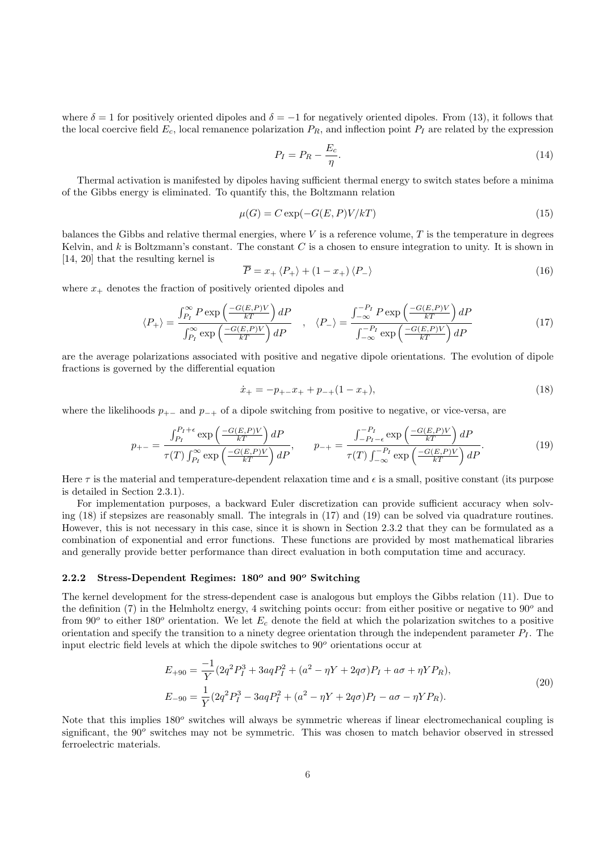where  $\delta = 1$  for positively oriented dipoles and  $\delta = -1$  for negatively oriented dipoles. From (13), it follows that the local coercive field  $E_c$ , local remanence polarization  $P_R$ , and inflection point  $P_I$  are related by the expression

$$
P_I = P_R - \frac{E_c}{\eta}.\tag{14}
$$

Thermal activation is manifested by dipoles having sufficient thermal energy to switch states before a minima of the Gibbs energy is eliminated. To quantify this, the Boltzmann relation

$$
\mu(G) = C \exp(-G(E, P)V/kT) \tag{15}
$$

balances the Gibbs and relative thermal energies, where  $V$  is a reference volume,  $T$  is the temperature in degrees Kelvin, and  $k$  is Boltzmann's constant. The constant  $C$  is a chosen to ensure integration to unity. It is shown in [14, 20] that the resulting kernel is

$$
\overline{P} = x_+ \langle P_+ \rangle + (1 - x_+) \langle P_- \rangle \tag{16}
$$

where  $x_{+}$  denotes the fraction of positively oriented dipoles and

$$
\langle P_{+} \rangle = \frac{\int_{P_{I}}^{\infty} P \exp\left(\frac{-G(E, P)V}{kT}\right) dP}{\int_{P_{I}}^{\infty} \exp\left(\frac{-G(E, P)V}{kT}\right) dP} \quad , \quad \langle P_{-} \rangle = \frac{\int_{-\infty}^{-P_{I}} P \exp\left(\frac{-G(E, P)V}{kT}\right) dP}{\int_{-\infty}^{-P_{I}} \exp\left(\frac{-G(E, P)V}{kT}\right) dP} \tag{17}
$$

are the average polarizations associated with positive and negative dipole orientations. The evolution of dipole fractions is governed by the differential equation

$$
\dot{x}_{+} = -p_{+-}x_{+} + p_{-+}(1 - x_{+}),\tag{18}
$$

where the likelihoods  $p_{+-}$  and  $p_{-+}$  of a dipole switching from positive to negative, or vice-versa, are

$$
p_{+-} = \frac{\int_{P_I}^{P_I + \epsilon} \exp\left(\frac{-G(E, P)V}{kT}\right) dP}{\tau(T) \int_{P_I}^{\infty} \exp\left(\frac{-G(E, P)V}{kT}\right) dP}, \qquad p_{-+} = \frac{\int_{-P_I - \epsilon}^{-P_I} \exp\left(\frac{-G(E, P)V}{kT}\right) dP}{\tau(T) \int_{-\infty}^{-P_I} \exp\left(\frac{-G(E, P)V}{kT}\right) dP}.
$$
(19)

Here  $\tau$  is the material and temperature-dependent relaxation time and  $\epsilon$  is a small, positive constant (its purpose is detailed in Section 2.3.1).

For implementation purposes, a backward Euler discretization can provide sufficient accuracy when solving (18) if stepsizes are reasonably small. The integrals in (17) and (19) can be solved via quadrature routines. However, this is not necessary in this case, since it is shown in Section 2.3.2 that they can be formulated as a combination of exponential and error functions. These functions are provided by most mathematical libraries and generally provide better performance than direct evaluation in both computation time and accuracy.

#### 2.2.2 Stress-Dependent Regimes:  $180^\circ$  and  $90^\circ$  Switching

The kernel development for the stress-dependent case is analogous but employs the Gibbs relation (11). Due to the definition (7) in the Helmholtz energy, 4 switching points occur: from either positive or negative to  $90^{\circ}$  and from 90<sup>o</sup> to either 180<sup>o</sup> orientation. We let  $E_c$  denote the field at which the polarization switches to a positive orientation and specify the transition to a ninety degree orientation through the independent parameter  $P_I$ . The input electric field levels at which the dipole switches to  $90^{\circ}$  orientations occur at

$$
E_{+90} = \frac{-1}{Y} (2q^2 P_I^3 + 3aq P_I^2 + (a^2 - \eta Y + 2q\sigma) P_I + a\sigma + \eta Y P_R),
$$
  
\n
$$
E_{-90} = \frac{1}{Y} (2q^2 P_I^3 - 3aq P_I^2 + (a^2 - \eta Y + 2q\sigma) P_I - a\sigma - \eta Y P_R).
$$
\n(20)

Note that this implies 180<sup>o</sup> switches will always be symmetric whereas if linear electromechanical coupling is significant, the 90<sup>o</sup> switches may not be symmetric. This was chosen to match behavior observed in stressed ferroelectric materials.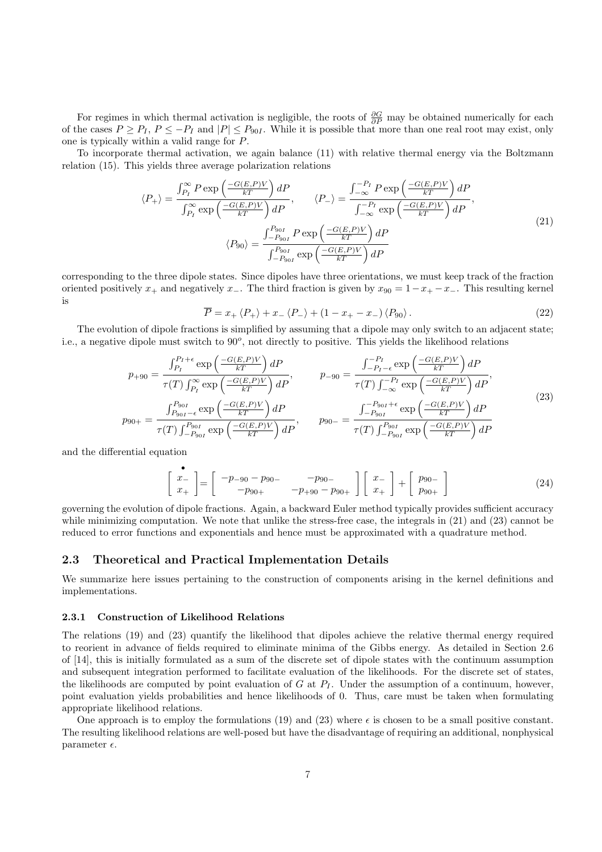For regimes in which thermal activation is negligible, the roots of  $\frac{\partial G}{\partial P}$  may be obtained numerically for each of the cases  $P \ge P_I$ ,  $P \le -P_I$  and  $|P| \le P_{90I}$ . While it is possible that more than one real root may exist, only one is typically within a valid range for P.

To incorporate thermal activation, we again balance (11) with relative thermal energy via the Boltzmann relation (15). This yields three average polarization relations

$$
\langle P_{+} \rangle = \frac{\int_{P_{I}}^{\infty} P \exp\left(\frac{-G(E, P)V}{kT}\right) dP}{\int_{P_{I}}^{\infty} \exp\left(\frac{-G(E, P)V}{kT}\right) dP}, \qquad \langle P_{-} \rangle = \frac{\int_{-\infty}^{-P_{I}} P \exp\left(\frac{-G(E, P)V}{kT}\right) dP}{\int_{-\infty}^{-P_{I}} \exp\left(\frac{-G(E, P)V}{kT}\right) dP},
$$
\n
$$
\langle P_{90} \rangle = \frac{\int_{-P_{90I}}^{P_{90I}} P \exp\left(\frac{-G(E, P)V}{kT}\right) dP}{\int_{-P_{90I}}^{P_{90I}} \exp\left(\frac{-G(E, P)V}{kT}\right) dP}.
$$
\n(21)

corresponding to the three dipole states. Since dipoles have three orientations, we must keep track of the fraction oriented positively  $x_+$  and negatively  $x_-\$ . The third fraction is given by  $x_{90} = 1-x_+ - x_-\$ . This resulting kernel is

$$
\overline{P} = x_+ \langle P_+ \rangle + x_- \langle P_- \rangle + (1 - x_+ - x_-) \langle P_{90} \rangle. \tag{22}
$$

The evolution of dipole fractions is simplified by assuming that a dipole may only switch to an adjacent state; i.e., a negative dipole must switch to 90<sup>o</sup>, not directly to positive. This yields the likelihood relations

$$
p_{+90} = \frac{\int_{P_I}^{P_I + \epsilon} \exp\left(\frac{-G(E, P)V}{kT}\right) dP}{\tau(T) \int_{P_I}^{\infty} \exp\left(\frac{-G(E, P)V}{kT}\right) dP}, \qquad p_{-90} = \frac{\int_{-P_I - \epsilon}^{-P_I} \exp\left(\frac{-G(E, P)V}{kT}\right) dP}{\tau(T) \int_{-\infty}^{-P_I} \exp\left(\frac{-G(E, P)V}{kT}\right) dP},
$$
\n
$$
p_{90+} = \frac{\int_{P_{90I}}^{P_{90I}} \exp\left(\frac{-G(E, P)V}{kT}\right) dP}{\tau(T) \int_{-P_{90I}}^{P_{90I}} \exp\left(\frac{-G(E, P)V}{kT}\right) dP}, \qquad p_{90-} = \frac{\int_{-P_{90I}}^{-P_{90I} + \epsilon} \exp\left(\frac{-G(E, P)V}{kT}\right) dP}{\tau(T) \int_{-P_{90I}}^{P_{90I}} \exp\left(\frac{-G(E, P)V}{kT}\right) dP} \tag{23}
$$

and the differential equation

$$
\begin{bmatrix} x_- \\ x_+ \\ x_+ \end{bmatrix} = \begin{bmatrix} -p_{-90} - p_{90-} & -p_{90-} \\ -p_{90+} & -p_{+90} - p_{90+} \end{bmatrix} \begin{bmatrix} x_- \\ x_+ \end{bmatrix} + \begin{bmatrix} p_{90-} \\ p_{90+} \end{bmatrix}
$$
(24)

governing the evolution of dipole fractions. Again, a backward Euler method typically provides sufficient accuracy while minimizing computation. We note that unlike the stress-free case, the integrals in  $(21)$  and  $(23)$  cannot be reduced to error functions and exponentials and hence must be approximated with a quadrature method.

#### 2.3 Theoretical and Practical Implementation Details

We summarize here issues pertaining to the construction of components arising in the kernel definitions and implementations.

### 2.3.1 Construction of Likelihood Relations

The relations (19) and (23) quantify the likelihood that dipoles achieve the relative thermal energy required to reorient in advance of fields required to eliminate minima of the Gibbs energy. As detailed in Section 2.6 of [14], this is initially formulated as a sum of the discrete set of dipole states with the continuum assumption and subsequent integration performed to facilitate evaluation of the likelihoods. For the discrete set of states, the likelihoods are computed by point evaluation of  $G$  at  $P<sub>I</sub>$ . Under the assumption of a continuum, however, point evaluation yields probabilities and hence likelihoods of 0. Thus, care must be taken when formulating appropriate likelihood relations.

One approach is to employ the formulations (19) and (23) where  $\epsilon$  is chosen to be a small positive constant. The resulting likelihood relations are well-posed but have the disadvantage of requiring an additional, nonphysical parameter  $\epsilon$ .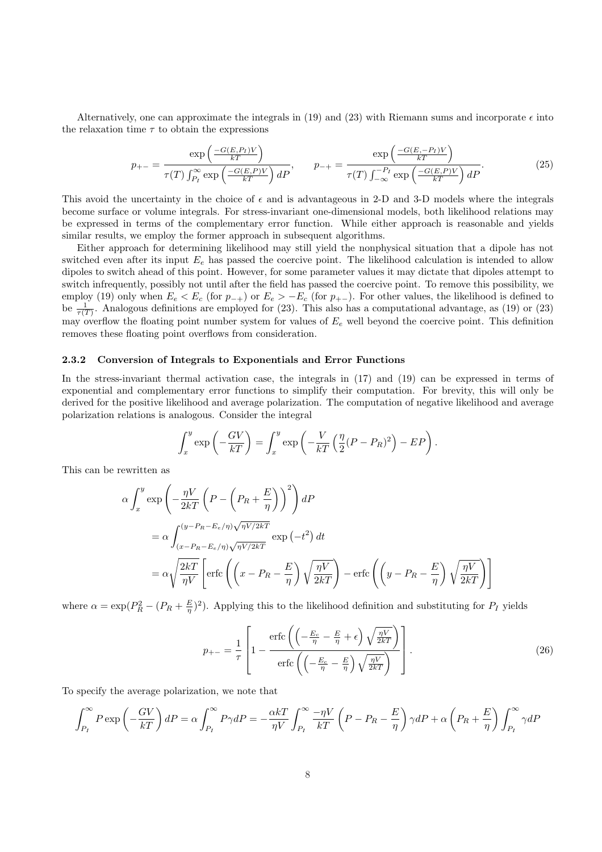Alternatively, one can approximate the integrals in (19) and (23) with Riemann sums and incorporate  $\epsilon$  into the relaxation time  $\tau$  to obtain the expressions

$$
p_{+-} = \frac{\exp\left(\frac{-G(E, P_I)V}{kT}\right)}{\tau(T)\int_{P_I}^{\infty} \exp\left(\frac{-G(E, P)V}{kT}\right)dP}, \qquad p_{-+} = \frac{\exp\left(\frac{-G(E, -P_I)V}{kT}\right)}{\tau(T)\int_{-\infty}^{-P_I} \exp\left(\frac{-G(E, P)V}{kT}\right)dP}.
$$
(25)

This avoid the uncertainty in the choice of  $\epsilon$  and is advantageous in 2-D and 3-D models where the integrals become surface or volume integrals. For stress-invariant one-dimensional models, both likelihood relations may be expressed in terms of the complementary error function. While either approach is reasonable and yields similar results, we employ the former approach in subsequent algorithms.

Either approach for determining likelihood may still yield the nonphysical situation that a dipole has not switched even after its input  $E_e$  has passed the coercive point. The likelihood calculation is intended to allow dipoles to switch ahead of this point. However, for some parameter values it may dictate that dipoles attempt to switch infrequently, possibly not until after the field has passed the coercive point. To remove this possibility, we employ (19) only when  $E_e < E_c$  (for  $p_{-+}$ ) or  $E_e > -E_c$  (for  $p_{+-}$ ). For other values, the likelihood is defined to be  $\frac{1}{\tau(T)}$ . Analogous definitions are employed for (23). This also has a computational advantage, as (19) or (23) may overflow the floating point number system for values of  $E<sub>e</sub>$  well beyond the coercive point. This definition removes these floating point overflows from consideration.

#### 2.3.2 Conversion of Integrals to Exponentials and Error Functions

In the stress-invariant thermal activation case, the integrals in (17) and (19) can be expressed in terms of exponential and complementary error functions to simplify their computation. For brevity, this will only be derived for the positive likelihood and average polarization. The computation of negative likelihood and average polarization relations is analogous. Consider the integral

$$
\int_x^y \exp\left(-\frac{GV}{kT}\right) = \int_x^y \exp\left(-\frac{V}{kT}\left(\frac{\eta}{2}(P - P_R)^2\right) - EP\right).
$$

This can be rewritten as

$$
\alpha \int_{x}^{y} \exp\left(-\frac{\eta V}{2kT} \left(P - \left(P_{R} + \frac{E}{\eta}\right)\right)^{2}\right) dP
$$
  
= 
$$
\alpha \int_{(x-P_{R}-E_{e}/\eta)\sqrt{\eta V/2kT}}^{(y-P_{R}-E_{e}/\eta)\sqrt{\eta V/2kT}} \exp\left(-t^{2}\right) dt
$$
  
= 
$$
\alpha \sqrt{\frac{2kT}{\eta V}} \left[ \text{erfc}\left(\left(x-P_{R} - \frac{E}{\eta}\right)\sqrt{\frac{\eta V}{2kT}}\right) - \text{erfc}\left(\left(y-P_{R} - \frac{E}{\eta}\right)\sqrt{\frac{\eta V}{2kT}}\right) \right]
$$

where  $\alpha = \exp(P_R^2 - (P_R + \frac{E}{\eta})^2)$ . Applying this to the likelihood definition and substituting for  $P_I$  yields

$$
p_{+-} = \frac{1}{\tau} \left[ 1 - \frac{\text{erfc}\left( \left( -\frac{E_c}{\eta} - \frac{E}{\eta} + \epsilon \right) \sqrt{\frac{\eta V}{2kT}} \right)}{\text{erfc}\left( \left( -\frac{E_c}{\eta} - \frac{E}{\eta} \right) \sqrt{\frac{\eta V}{2kT}} \right)} \right].
$$
 (26)

To specify the average polarization, we note that

$$
\int_{P_I}^{\infty} P \exp\left(-\frac{GV}{kT}\right) dP = \alpha \int_{P_I}^{\infty} P \gamma dP = -\frac{\alpha kT}{\eta V} \int_{P_I}^{\infty} \frac{-\eta V}{kT} \left(P - P_R - \frac{E}{\eta}\right) \gamma dP + \alpha \left(P_R + \frac{E}{\eta}\right) \int_{P_I}^{\infty} \gamma dP
$$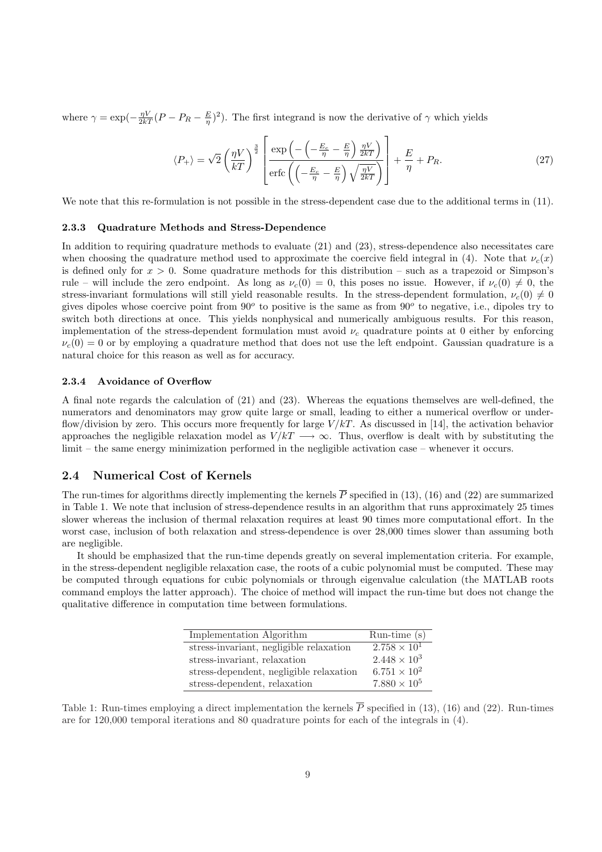where  $\gamma = \exp(-\frac{\eta V}{2kT}(P - P_R - \frac{E}{\eta})^2)$ . The first integrand is now the derivative of  $\gamma$  which yields

$$
\langle P_{+} \rangle = \sqrt{2} \left( \frac{\eta V}{kT} \right)^{\frac{3}{2}} \left[ \frac{\exp \left( -\left( -\frac{E_{c}}{\eta} - \frac{E}{\eta} \right) \frac{\eta V}{2kT} \right)}{\text{erfc} \left( \left( -\frac{E_{c}}{\eta} - \frac{E}{\eta} \right) \sqrt{\frac{\eta V}{2kT}} \right)} \right] + \frac{E}{\eta} + P_{R}.
$$
 (27)

We note that this re-formulation is not possible in the stress-dependent case due to the additional terms in (11).

#### 2.3.3 Quadrature Methods and Stress-Dependence

In addition to requiring quadrature methods to evaluate (21) and (23), stress-dependence also necessitates care when choosing the quadrature method used to approximate the coercive field integral in (4). Note that  $\nu_c(x)$ is defined only for  $x > 0$ . Some quadrature methods for this distribution – such as a trapezoid or Simpson's rule – will include the zero endpoint. As long as  $\nu_c(0) = 0$ , this poses no issue. However, if  $\nu_c(0) \neq 0$ , the stress-invariant formulations will still yield reasonable results. In the stress-dependent formulation,  $\nu_c(0) \neq 0$ gives dipoles whose coercive point from  $90^{\circ}$  to positive is the same as from  $90^{\circ}$  to negative, i.e., dipoles try to switch both directions at once. This yields nonphysical and numerically ambiguous results. For this reason, implementation of the stress-dependent formulation must avoid  $\nu_c$  quadrature points at 0 either by enforcing  $\nu_c(0) = 0$  or by employing a quadrature method that does not use the left endpoint. Gaussian quadrature is a natural choice for this reason as well as for accuracy.

#### 2.3.4 Avoidance of Overflow

A final note regards the calculation of (21) and (23). Whereas the equations themselves are well-defined, the numerators and denominators may grow quite large or small, leading to either a numerical overflow or underflow/division by zero. This occurs more frequently for large  $V/kT$ . As discussed in [14], the activation behavior approaches the negligible relaxation model as  $V/kT \longrightarrow \infty$ . Thus, overflow is dealt with by substituting the limit – the same energy minimization performed in the negligible activation case – whenever it occurs.

#### 2.4 Numerical Cost of Kernels

The run-times for algorithms directly implementing the kernels  $\overline{P}$  specified in (13), (16) and (22) are summarized in Table 1. We note that inclusion of stress-dependence results in an algorithm that runs approximately 25 times slower whereas the inclusion of thermal relaxation requires at least 90 times more computational effort. In the worst case, inclusion of both relaxation and stress-dependence is over 28,000 times slower than assuming both are negligible.

It should be emphasized that the run-time depends greatly on several implementation criteria. For example, in the stress-dependent negligible relaxation case, the roots of a cubic polynomial must be computed. These may be computed through equations for cubic polynomials or through eigenvalue calculation (the MATLAB roots command employs the latter approach). The choice of method will impact the run-time but does not change the qualitative difference in computation time between formulations.

| Implementation Algorithm                | $Run-time(s)$         |
|-----------------------------------------|-----------------------|
| stress-invariant, negligible relaxation | $2.758 \times 10^{1}$ |
| stress-invariant, relaxation            | $2.448 \times 10^3$   |
| stress-dependent, negligible relaxation | $6.751 \times 10^{2}$ |
| stress-dependent, relaxation            | $7.880 \times 10^5$   |

Table 1: Run-times employing a direct implementation the kernels  $\overline{P}$  specified in (13), (16) and (22). Run-times are for 120,000 temporal iterations and 80 quadrature points for each of the integrals in (4).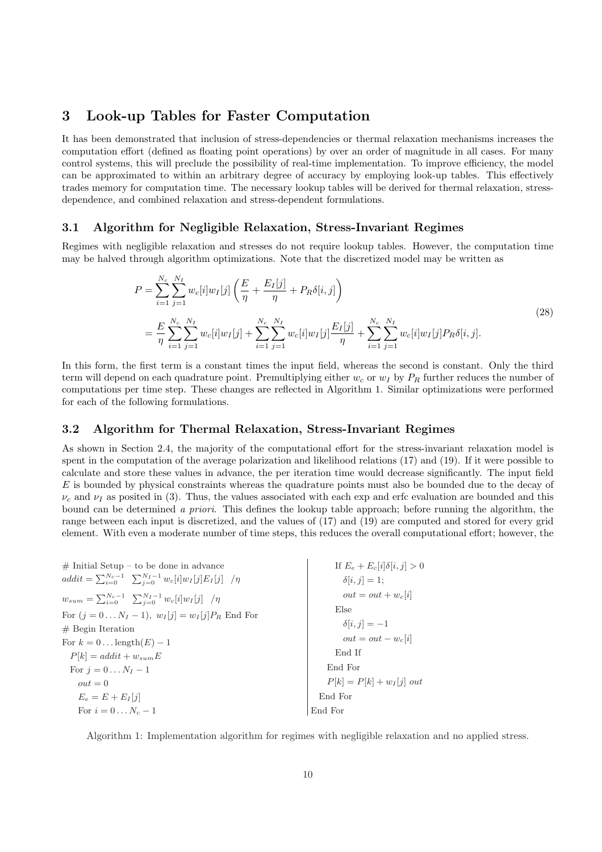# 3 Look-up Tables for Faster Computation

It has been demonstrated that inclusion of stress-dependencies or thermal relaxation mechanisms increases the computation effort (defined as floating point operations) by over an order of magnitude in all cases. For many control systems, this will preclude the possibility of real-time implementation. To improve efficiency, the model can be approximated to within an arbitrary degree of accuracy by employing look-up tables. This effectively trades memory for computation time. The necessary lookup tables will be derived for thermal relaxation, stressdependence, and combined relaxation and stress-dependent formulations.

### 3.1 Algorithm for Negligible Relaxation, Stress-Invariant Regimes

Regimes with negligible relaxation and stresses do not require lookup tables. However, the computation time may be halved through algorithm optimizations. Note that the discretized model may be written as

$$
P = \sum_{i=1}^{N_c} \sum_{j=1}^{N_I} w_c[i] w_I[j] \left( \frac{E}{\eta} + \frac{E_I[j]}{\eta} + P_R \delta[i, j] \right)
$$
  
= 
$$
\frac{E}{\eta} \sum_{i=1}^{N_c} \sum_{j=1}^{N_I} w_c[i] w_I[j] + \sum_{i=1}^{N_c} \sum_{j=1}^{N_I} w_c[i] w_I[j] \frac{E_I[j]}{\eta} + \sum_{i=1}^{N_c} \sum_{j=1}^{N_I} w_c[i] w_I[j] P_R \delta[i, j].
$$
 (28)

In this form, the first term is a constant times the input field, whereas the second is constant. Only the third term will depend on each quadrature point. Premultiplying either  $w_c$  or  $w_I$  by  $P_R$  further reduces the number of computations per time step. These changes are reflected in Algorithm 1. Similar optimizations were performed for each of the following formulations.

### 3.2 Algorithm for Thermal Relaxation, Stress-Invariant Regimes

As shown in Section 2.4, the majority of the computational effort for the stress-invariant relaxation model is spent in the computation of the average polarization and likelihood relations (17) and (19). If it were possible to calculate and store these values in advance, the per iteration time would decrease significantly. The input field  $E$  is bounded by physical constraints whereas the quadrature points must also be bounded due to the decay of  $\nu_c$  and  $\nu_I$  as posited in (3). Thus, the values associated with each exp and erfc evaluation are bounded and this bound can be determined a priori. This defines the lookup table approach; before running the algorithm, the range between each input is discretized, and the values of (17) and (19) are computed and stored for every grid element. With even a moderate number of time steps, this reduces the overall computational effort; however, the

 $\#$ Initial Setup – to be done in advance  $addit = \sum_{i=0}^{N_c-1} \sum_{j=0}^{N_I-1} w_c[i]w_I[j]E_I[j]$  /η  $w_{sum} = \sum_{i=0}^{N_c-1} \sum_{j=0}^{N_I-1} w_c[i]w_I[j]$  /η For  $(j = 0 ... N_I - 1)$ ,  $w_I[j] = w_I[j]P_R$  End For # Begin Iteration For  $k = 0 \dots$  length $(E) - 1$  $P[k] = addit + w_{sum}E$ For  $j = 0 \dots N_I - 1$  $out = 0$  $E_e = E + E_I[j]$ For  $i = 0 \dots N_c - 1$ If  $E_e + E_c[i]\delta[i, j] > 0$  $\delta[i, j] = 1;$  $out = out + w_c[i]$ Else  $\delta[i, j] = -1$  $out = out - w_c[i]$ End If End For  $P[k] = P[k] + w_I[j] \text{ out}$ End For End For

Algorithm 1: Implementation algorithm for regimes with negligible relaxation and no applied stress.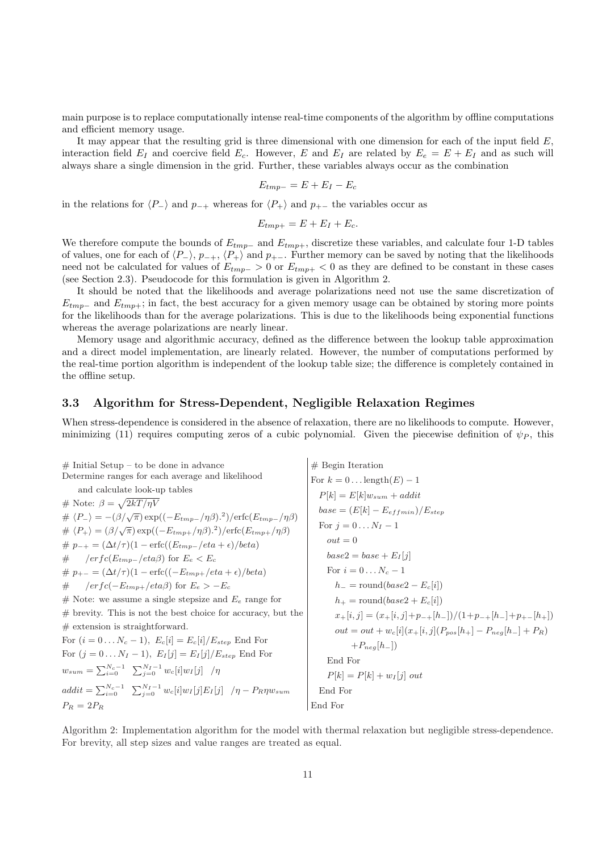main purpose is to replace computationally intense real-time components of the algorithm by offline computations and efficient memory usage.

It may appear that the resulting grid is three dimensional with one dimension for each of the input field  $E$ , interaction field  $E_I$  and coercive field  $E_c$ . However, E and  $E_I$  are related by  $E_e = E + E_I$  and as such will always share a single dimension in the grid. Further, these variables always occur as the combination

$$
E_{tmp-} = E + E_I - E_c
$$

in the relations for  $\langle P_-\rangle$  and  $p_{-+}$  whereas for  $\langle P_+\rangle$  and  $p_{+-}$  the variables occur as

$$
E_{tmp+} = E + E_I + E_c.
$$

We therefore compute the bounds of  $E_{tmp-}$  and  $E_{tmp+}$ , discretize these variables, and calculate four 1-D tables of values, one for each of  $\langle P_-\rangle$ ,  $p_{-+}, \langle P_+\rangle$  and  $p_{+-}$ . Further memory can be saved by noting that the likelihoods need not be calculated for values of  $E_{tmp-} > 0$  or  $E_{tmp+} < 0$  as they are defined to be constant in these cases (see Section 2.3). Pseudocode for this formulation is given in Algorithm 2.

It should be noted that the likelihoods and average polarizations need not use the same discretization of  $E_{tmp-}$  and  $E_{tmp+}$ ; in fact, the best accuracy for a given memory usage can be obtained by storing more points for the likelihoods than for the average polarizations. This is due to the likelihoods being exponential functions whereas the average polarizations are nearly linear.

Memory usage and algorithmic accuracy, defined as the difference between the lookup table approximation and a direct model implementation, are linearly related. However, the number of computations performed by the real-time portion algorithm is independent of the lookup table size; the difference is completely contained in the offline setup.

### 3.3 Algorithm for Stress-Dependent, Negligible Relaxation Regimes

When stress-dependence is considered in the absence of relaxation, there are no likelihoods to compute. However, minimizing (11) requires computing zeros of a cubic polynomial. Given the piecewise definition of  $\psi_P$ , this

$$
\# \text{ Initial Setup - to be done in advance} \text{ Determine ranges for each average and likelihood} \# Begin Iteration \text{ and calculate look-up tables} \# Note: \n
$$
\# \text{ Note: } \beta = \sqrt{2kT/\eta V}
$$
\n
$$
\# \langle P_{-} \rangle = -(\beta/\sqrt{\pi}) \exp((-E_{tmp} - / \eta \beta)^{2})/\text{erfc}(E_{tmp} - / \eta \beta)
$$
\n
$$
\# \langle P_{+} \rangle = (\beta/\sqrt{\pi}) \exp((-E_{tmp} - / \eta \beta)^{2})/\text{erfc}(E_{tmp} - / \eta \beta)
$$
\n
$$
\# \langle P_{+} \rangle = (\beta/\sqrt{\pi}) \exp((-E_{tmp} - / \eta \beta)^{2})/\text{erfc}(E_{tmp} - / \eta \beta)
$$
\n
$$
\# \langle P_{+} \rangle = (\beta/\sqrt{\pi}) \exp((-E_{tmp} - / \eta \beta)^{2})/\text{erfc}(E_{tmp} - / \eta \beta)
$$
\n
$$
\# \langle P_{+} \rangle = (\Delta t/\tau)(1 - \text{erfc}((E_{tmp} - / \text{eta} + \epsilon)/\text{beta})) \text{ for } E_{\epsilon} < E_{\epsilon}
$$
\n
$$
\# \text{ Note: we assume a single stepsize and } E_{\epsilon} \text{ range for}
$$
\n
$$
\# \text{ In the image, we assume a single stepsize and } E_{\epsilon} \text{ range for}
$$
\n
$$
\# \text{ the given value of } \text{ the second} \text{ to } E_{\epsilon} \text{ and } E_{\epsilon} \text{ is not the best choice for accuracy, but the}
$$
\n
$$
\# \text{ the second} \text{ to } E_{\epsilon} \text{ and } E_{\epsilon} \text{ is not the best choice for accuracy, but the}
$$
\n
$$
\# \text{ the second} \text{ to } E_{\epsilon} \text{ and } E_{\epsilon} \text{ and } E_{\epsilon} \text{ are not } \text{ in the image, we have}
$$
\n
$$
\text{For } (i = 0 \dots N_{c} - 1), E_{\epsilon}[i] = E_{\epsilon}[i]/E_{step} \text{ End For}
$$
\n
$$
\text{For } (j = 0 \dots N_{I} - 1), E_{\epsilon}[j] = E_{\epsilon}[i]/E_{step} \text{ End For}
$$
\n
$$
\text{For } j = 0 \dots N_{I} - 1 \text{ and
$$
$$

Algorithm 2: Implementation algorithm for the model with thermal relaxation but negligible stress-dependence. For brevity, all step sizes and value ranges are treated as equal.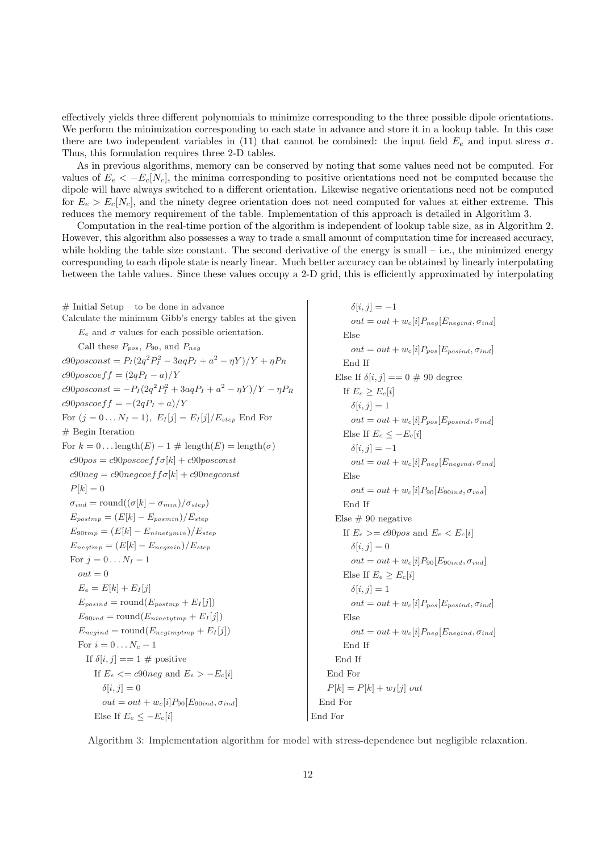effectively yields three different polynomials to minimize corresponding to the three possible dipole orientations. We perform the minimization corresponding to each state in advance and store it in a lookup table. In this case there are two independent variables in (11) that cannot be combined: the input field  $E_e$  and input stress  $\sigma$ . Thus, this formulation requires three 2-D tables.

As in previous algorithms, memory can be conserved by noting that some values need not be computed. For values of  $E_e < -E_c[N_c]$ , the minima corresponding to positive orientations need not be computed because the dipole will have always switched to a different orientation. Likewise negative orientations need not be computed for  $E_e > E_c[N_c]$ , and the ninety degree orientation does not need computed for values at either extreme. This reduces the memory requirement of the table. Implementation of this approach is detailed in Algorithm 3.

Computation in the real-time portion of the algorithm is independent of lookup table size, as in Algorithm 2. However, this algorithm also possesses a way to trade a small amount of computation time for increased accuracy, while holding the table size constant. The second derivative of the energy is small – i.e., the minimized energy corresponding to each dipole state is nearly linear. Much better accuracy can be obtained by linearly interpolating between the table values. Since these values occupy a 2-D grid, this is efficiently approximated by interpolating

 $#$  Initial Setup – to be done in advance Calculate the minimum Gibb's energy tables at the given  $E_e$  and  $\sigma$  values for each possible orientation. Call these  $P_{pos}$ ,  $P_{90}$ , and  $P_{neg}$  $c90posconst = P_I(2q^2P_I^2 - 3aqP_I + a^2 - \eta Y)/Y + \eta P_R$ c90poscoe f  $f = (2qP_I - a)/Y$  $c90posconst = -P_I(2q^2P_I^2 + 3aqP_I + a^2 - \eta Y)/Y - \eta P_R$  $c90poscoeff = -(2qP<sub>I</sub> + a)/Y$ For  $(j = 0 \ldots N_I - 1)$ ,  $E_I[j] = E_I[j]/E_{step}$  End For # Begin Iteration For  $k = 0$ ... length $(E) - 1 \neq \text{length}(E) = \text{length}(\sigma)$  $c90pos = c90poscoef f\sigma[k] + c90posconst$  $c90neq = c90neqce$  f  $\sigma[k] + c90neqconst$  $P[k] = 0$  $\sigma_{ind} = \text{round}((\sigma[k] - \sigma_{min})/\sigma_{step})$  $E_{postmp} = (E[k] - E_{posmin})/E_{step}$  $E_{90tmp} = (E[k] - E_{ninetymin})/E_{step}$  $E_{negtmp} = (E[k] - E_{negmin})/E_{step}$ For  $j = 0 \dots N_I - 1$  $out = 0$  $E_e = E[k] + E_I[i]$  $E_{posind} = \text{round}(E_{postmp} + E_I[j])$  $E_{90ind} = \text{round}(E_{ninetutmn} + E_I[i])$  $E_{negind} = \text{round}(E_{negtmptmp} + E_I[j])$ For  $i = 0 \dots N_c - 1$ If  $\delta[i, j] == 1 \neq$  positive If  $E_e \leq$  = c90neg and  $E_e > -E_c[i]$  $δ[i, i] = 0$  $out = out + w_c[i]P_{90}[E_{90ind}, \sigma_{ind}]$ Else If  $E_e \leq -E_c[i]$ 

 $\delta[i, j] = -1$  $out = out + w_c[i]P_{neq}[E_{neqind}, \sigma_{ind}]$ Else  $out = out + w_c[i]P_{pos}[E_{posind}, \sigma_{ind}]$ End If Else If  $\delta[i, j] == 0 \neq 90$  degree If  $E_e \geq E_c[i]$  $\delta[i, j] = 1$  $out = out + w_c[i]P_{pos}[E_{posind}, \sigma_{ind}]$ Else If  $E_e \leq -E_c[i]$  $\delta[i, j] = -1$  $out = out + w_c[i]P_{neq}[E_{neq}]$ Else  $out = out + w_c[i]P_{90}[E_{90ind}, \sigma_{ind}]$ End If Else  $# 90$  negative If  $E_e \geq c90pos$  and  $E_e \leq E_c[i]$  $\delta[i, j] = 0$  $out = out + w_c[i]P_{90}[E_{90ind}, \sigma_{ind}]$ Else If  $E_e \geq E_c[i]$  $\delta[i, j] = 1$  $out = out + w_c[i]P_{pos}[E_{posind}, \sigma_{ind}]$ Else  $out = out + w_c[i]P_{neg}[E_{negind}, \sigma_{ind}]$ End If End If End For  $P[k] = P[k] + w_I[j] \text{ out}$ End For End For

Algorithm 3: Implementation algorithm for model with stress-dependence but negligible relaxation.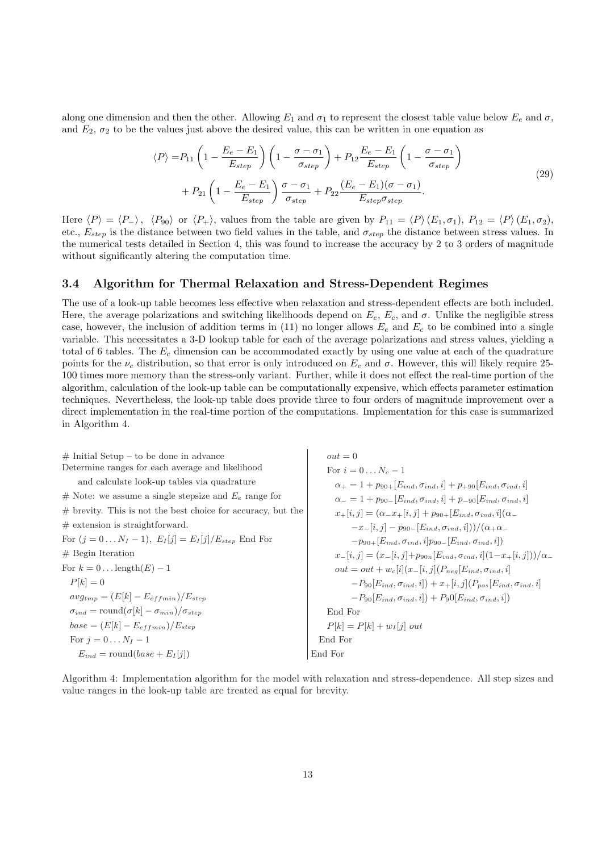along one dimension and then the other. Allowing  $E_1$  and  $\sigma_1$  to represent the closest table value below  $E_e$  and  $\sigma$ , and  $E_2$ ,  $\sigma_2$  to be the values just above the desired value, this can be written in one equation as

$$
\langle P \rangle = P_{11} \left( 1 - \frac{E_e - E_1}{E_{step}} \right) \left( 1 - \frac{\sigma - \sigma_1}{\sigma_{step}} \right) + P_{12} \frac{E_e - E_1}{E_{step}} \left( 1 - \frac{\sigma - \sigma_1}{\sigma_{step}} \right)
$$
  
+ 
$$
P_{21} \left( 1 - \frac{E_e - E_1}{E_{step}} \right) \frac{\sigma - \sigma_1}{\sigma_{step}} + P_{22} \frac{(E_e - E_1)(\sigma - \sigma_1)}{E_{step} \sigma_{step}}.
$$
 (29)

Here  $\langle P \rangle = \langle P_-\rangle$ ,  $\langle P_{90} \rangle$  or  $\langle P_+\rangle$ , values from the table are given by  $P_{11} = \langle P \rangle (E_1, \sigma_1)$ ,  $P_{12} = \langle P \rangle (E_1, \sigma_2)$ , etc.,  $E_{step}$  is the distance between two field values in the table, and  $\sigma_{step}$  the distance between stress values. In the numerical tests detailed in Section 4, this was found to increase the accuracy by 2 to 3 orders of magnitude without significantly altering the computation time.

# 3.4 Algorithm for Thermal Relaxation and Stress-Dependent Regimes

The use of a look-up table becomes less effective when relaxation and stress-dependent effects are both included. Here, the average polarizations and switching likelihoods depend on  $E_e$ ,  $E_c$ , and  $\sigma$ . Unlike the negligible stress case, however, the inclusion of addition terms in (11) no longer allows  $E_e$  and  $E_c$  to be combined into a single variable. This necessitates a 3-D lookup table for each of the average polarizations and stress values, yielding a total of 6 tables. The  $E_c$  dimension can be accommodated exactly by using one value at each of the quadrature points for the  $\nu_c$  distribution, so that error is only introduced on  $E_e$  and  $\sigma$ . However, this will likely require 25-100 times more memory than the stress-only variant. Further, while it does not effect the real-time portion of the algorithm, calculation of the look-up table can be computationally expensive, which effects parameter estimation techniques. Nevertheless, the look-up table does provide three to four orders of magnitude improvement over a direct implementation in the real-time portion of the computations. Implementation for this case is summarized in Algorithm 4.

| # Initial Setup – to be done in advance                                                    | out = 0                                                                                                                                                         |
|--------------------------------------------------------------------------------------------|-----------------------------------------------------------------------------------------------------------------------------------------------------------------|
| Determine ranges for each average and likelihood                                           | For $i = 0...N_c - 1$                                                                                                                                           |
| and calculate look-up tables via quadrature                                                | $\alpha_+ = 1 + p_{90+}[E_{ind}, \sigma_{ind}, i] + p_{+90}[E_{ind}, \sigma_{ind}, i]$                                                                          |
| # brevity. This is not the best choice for accuracy, but the extension is straightforward. | $\alpha_- = 1 + p_{90-}[E_{ind}, \sigma_{ind}, i] + p_{-90}[E_{ind}, \sigma_{ind}, i]$                                                                          |
| For $(j = 0...N_I - 1), E_I[j] = E_I[j]/E_{step}$ End For                                  | $x_{+}[i, j] = (\alpha_x x_{+}[i, j] + p_{90+}[E_{ind}, \sigma_{ind}, i])(\alpha_{+}\alpha_{-}\alpha_{-}\alpha_{-}[i, j] + p_{90-}[E_{ind}, \sigma_{ind}, i]])$ |
| For $k = 0...$ length( $E$ ) – 1                                                           | $x_{-}[i, j] = x_{-}[j, j] + p_{90-}[E_{ind}, \sigma_{ind}, i]])$                                                                                               |
| For $k = 0...$ length( $E$ ) – 1                                                           | $x_{-}[i, j] = x_{-}[j, j] + p_{90-}[E_{ind}, \sigma_{ind}, i]]$                                                                                                |
| For $k = 0...$ length( $E$ ) – 1                                                           | $x_{-}[i, j] = x_{-}[i, j] + p_{90-}[E_{ind}, \sigma_{ind}, i]]$                                                                                                |
| For $k = 0...$ length( $E$ ) – 1                                                           | $x_{-}[i, j] = x_{-}[j, j] + p_{90-}[E_{ind}, \sigma_{ind}, i]]$                                                                                                |
| For $k = 0...$ length( $E$ ) – 1                                                           | $x_{-}[i, j] = x_{-}[j, j] + p_{90-}[E_{ind}, \sigma_{ind}, i]]$                                                                                                |
| For $u_{+$                                                                                 |                                                                                                                                                                 |

Algorithm 4: Implementation algorithm for the model with relaxation and stress-dependence. All step sizes and value ranges in the look-up table are treated as equal for brevity.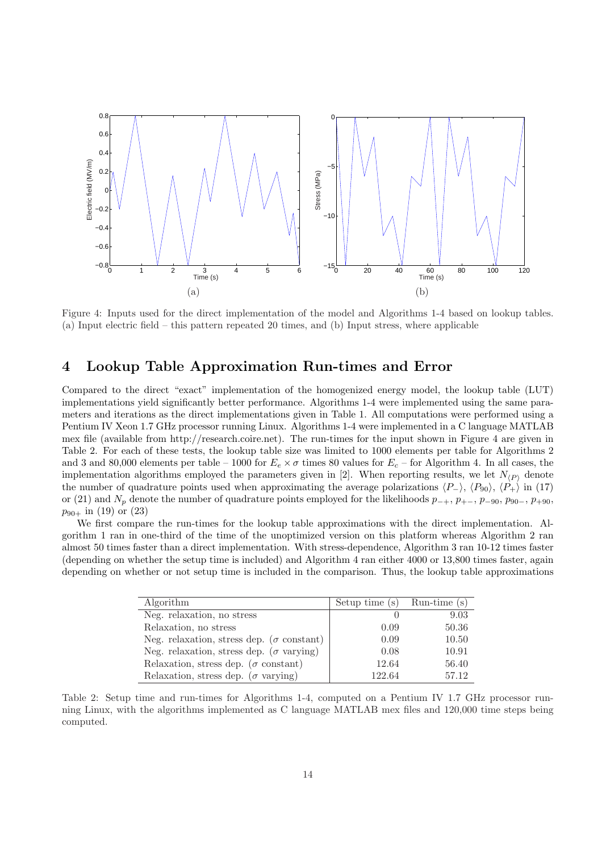

Figure 4: Inputs used for the direct implementation of the model and Algorithms 1-4 based on lookup tables. (a) Input electric field – this pattern repeated 20 times, and (b) Input stress, where applicable

# 4 Lookup Table Approximation Run-times and Error

Compared to the direct "exact" implementation of the homogenized energy model, the lookup table (LUT) implementations yield significantly better performance. Algorithms 1-4 were implemented using the same parameters and iterations as the direct implementations given in Table 1. All computations were performed using a Pentium IV Xeon 1.7 GHz processor running Linux. Algorithms 1-4 were implemented in a C language MATLAB mex file (available from http://research.coire.net). The run-times for the input shown in Figure 4 are given in Table 2. For each of these tests, the lookup table size was limited to 1000 elements per table for Algorithms 2 and 3 and 80,000 elements per table – 1000 for  $E_e \times \sigma$  times 80 values for  $E_c$  – for Algorithm 4. In all cases, the implementation algorithms employed the parameters given in [2]. When reporting results, we let  $N_{(P)}$  denote the number of quadrature points used when approximating the average polarizations  $\langle P_-\rangle$ ,  $\langle P_{90}\rangle$ ,  $\langle P_+\rangle$  in (17) or (21) and  $N_p$  denote the number of quadrature points employed for the likelihoods  $p_{-+}, p_{+-}, p_{-90}, p_{90-}, p_{+90}$ ,  $p_{90+}$  in (19) or (23)

We first compare the run-times for the lookup table approximations with the direct implementation. Algorithm 1 ran in one-third of the time of the unoptimized version on this platform whereas Algorithm 2 ran almost 50 times faster than a direct implementation. With stress-dependence, Algorithm 3 ran 10-12 times faster (depending on whether the setup time is included) and Algorithm 4 ran either 4000 or 13,800 times faster, again depending on whether or not setup time is included in the comparison. Thus, the lookup table approximations

| Algorithm                                         | Setup time $(s)$ Run-time $(s)$ |       |
|---------------------------------------------------|---------------------------------|-------|
| Neg. relaxation, no stress                        |                                 | 9.03  |
| Relaxation, no stress                             | 0.09                            | 50.36 |
| Neg. relaxation, stress dep. ( $\sigma$ constant) | 0.09                            | 10.50 |
| Neg. relaxation, stress dep. ( $\sigma$ varying)  | 0.08                            | 10.91 |
| Relaxation, stress dep. ( $\sigma$ constant)      | 12.64                           | 56.40 |
| Relaxation, stress dep. ( $\sigma$ varying)       | 122.64                          | 57.12 |

Table 2: Setup time and run-times for Algorithms 1-4, computed on a Pentium IV 1.7 GHz processor running Linux, with the algorithms implemented as C language MATLAB mex files and 120,000 time steps being computed.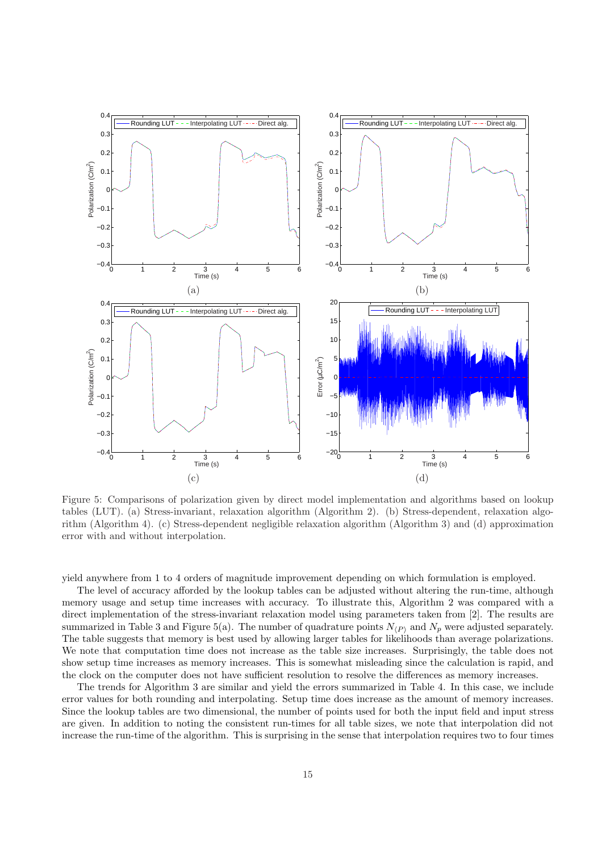

Figure 5: Comparisons of polarization given by direct model implementation and algorithms based on lookup tables (LUT). (a) Stress-invariant, relaxation algorithm (Algorithm 2). (b) Stress-dependent, relaxation algorithm (Algorithm 4). (c) Stress-dependent negligible relaxation algorithm (Algorithm 3) and (d) approximation error with and without interpolation.

yield anywhere from 1 to 4 orders of magnitude improvement depending on which formulation is employed.

The level of accuracy afforded by the lookup tables can be adjusted without altering the run-time, although memory usage and setup time increases with accuracy. To illustrate this, Algorithm 2 was compared with a direct implementation of the stress-invariant relaxation model using parameters taken from [2]. The results are summarized in Table 3 and Figure 5(a). The number of quadrature points  $N_{(P)}$  and  $N_p$  were adjusted separately. The table suggests that memory is best used by allowing larger tables for likelihoods than average polarizations. We note that computation time does not increase as the table size increases. Surprisingly, the table does not show setup time increases as memory increases. This is somewhat misleading since the calculation is rapid, and the clock on the computer does not have sufficient resolution to resolve the differences as memory increases.

The trends for Algorithm 3 are similar and yield the errors summarized in Table 4. In this case, we include error values for both rounding and interpolating. Setup time does increase as the amount of memory increases. Since the lookup tables are two dimensional, the number of points used for both the input field and input stress are given. In addition to noting the consistent run-times for all table sizes, we note that interpolation did not increase the run-time of the algorithm. This is surprising in the sense that interpolation requires two to four times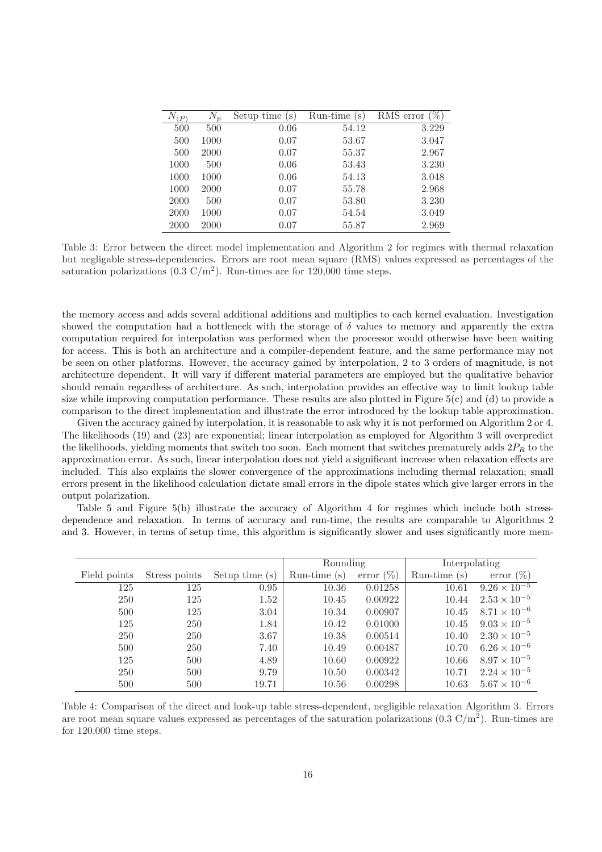| $N_{\langle P\rangle}$ | $N_p$ | Setup time<br>$(\mathrm{s})$ | Run-time (s) | $(\% )$<br>RMS error |
|------------------------|-------|------------------------------|--------------|----------------------|
| 500                    | 500   | 0.06                         | 54.12        | 3.229                |
| 500                    | 1000  | 0.07                         | 53.67        | 3.047                |
| 500                    | 2000  | 0.07                         | 55.37        | 2.967                |
| 1000                   | 500   | 0.06                         | 53.43        | 3.230                |
| 1000                   | 1000  | 0.06                         | 54.13        | 3.048                |
| 1000                   | 2000  | 0.07                         | 55.78        | 2.968                |
| 2000                   | 500   | 0.07                         | 53.80        | 3.230                |
| 2000                   | 1000  | 0.07                         | 54.54        | 3.049                |
| 2000                   | 2000  | 0.07                         | 55.87        | 2.969                |

Table 3: Error between the direct model implementation and Algorithm 2 for regimes with thermal relaxation but negligable stress-dependencies. Errors are root mean square (RMS) values expressed as percentages of the saturation polarizations  $(0.3 \text{ C/m}^2)$ . Run-times are for 120,000 time steps.

the memory access and adds several additional additions and multiplies to each kernel evaluation. Investigation showed the computation had a bottleneck with the storage of  $\delta$  values to memory and apparently the extra computation required for interpolation was performed when the processor would otherwise have been waiting for access. This is both an architecture and a compiler-dependent feature, and the same performance may not be seen on other platforms. However, the accuracy gained by interpolation, 2 to 3 orders of magnitude, is not architecture dependent. It will vary if different material parameters are employed but the qualitative behavior should remain regardless of architecture. As such, interpolation provides an effective way to limit lookup table size while improving computation performance. These results are also plotted in Figure  $5(c)$  and (d) to provide a comparison to the direct implementation and illustrate the error introduced by the lookup table approximation.

Given the accuracy gained by interpolation, it is reasonable to ask why it is not performed on Algorithm 2 or 4. The likelihoods (19) and (23) are exponential; linear interpolation as employed for Algorithm 3 will overpredict the likelihoods, yielding moments that switch too soon. Each moment that switches prematurely adds  $2P_R$  to the approximation error. As such, linear interpolation does not yield a significant increase when relaxation effects are included. This also explains the slower convergence of the approximations including thermal relaxation; small errors present in the likelihood calculation dictate small errors in the dipole states which give larger errors in the output polarization.

Table 5 and Figure 5(b) illustrate the accuracy of Algorithm 4 for regimes which include both stressdependence and relaxation. In terms of accuracy and run-time, the results are comparable to Algorithms 2 and 3. However, in terms of setup time, this algorithm is significantly slower and uses significantly more mem-

|              |               |                | Rounding      |              | Interpolating |                       |
|--------------|---------------|----------------|---------------|--------------|---------------|-----------------------|
| Field points | Stress points | Setup time (s) | $Run-time(s)$ | error $(\%)$ | $Run-time(s)$ | $error (\%)$          |
| 125          | 125           | 0.95           | 10.36         | 0.01258      | 10.61         | $9.26 \times 10^{-5}$ |
| 250          | 125           | 1.52           | 10.45         | 0.00922      | 10.44         | $2.53 \times 10^{-5}$ |
| 500          | 125           | 3.04           | 10.34         | 0.00907      | 10.45         | $8.71 \times 10^{-6}$ |
| 125          | 250           | 1.84           | 10.42         | 0.01000      | 10.45         | $9.03 \times 10^{-5}$ |
| 250          | 250           | 3.67           | 10.38         | 0.00514      | 10.40         | $2.30 \times 10^{-5}$ |
| 500          | 250           | 7.40           | 10.49         | 0.00487      | 10.70         | $6.26 \times 10^{-6}$ |
| 125          | 500           | 4.89           | 10.60         | 0.00922      | 10.66         | $8.97 \times 10^{-5}$ |
| 250          | 500           | 9.79           | 10.50         | 0.00342      | 10.71         | $2.24 \times 10^{-5}$ |
| 500          | 500           | 19.71          | 10.56         | 0.00298      | 10.63         | $5.67 \times 10^{-6}$ |

Table 4: Comparison of the direct and look-up table stress-dependent, negligible relaxation Algorithm 3. Errors are root mean square values expressed as percentages of the saturation polarizations  $(0.3 \text{ C/m}^2)$ . Run-times are for 120,000 time steps.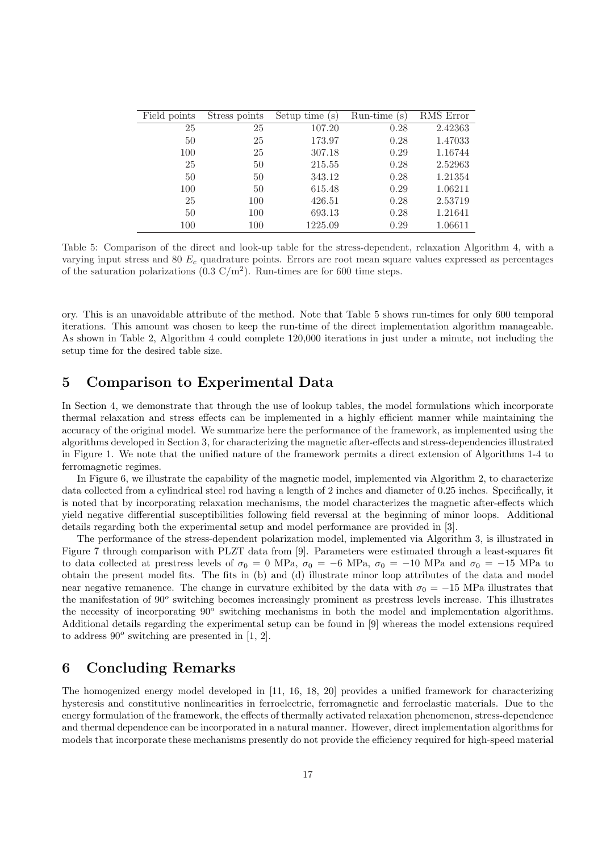| Field points | Stress points | Setup time (s) | $Run-time(s)$ | RMS Error |
|--------------|---------------|----------------|---------------|-----------|
| 25           | 25            | 107.20         | 0.28          | 2.42363   |
| 50           | 25            | 173.97         | 0.28          | 1.47033   |
| 100          | 25            | 307.18         | 0.29          | 1.16744   |
| 25           | 50            | 215.55         | 0.28          | 2.52963   |
| 50           | 50            | 343.12         | 0.28          | 1.21354   |
| 100          | 50            | 615.48         | 0.29          | 1.06211   |
| 25           | 100           | 426.51         | 0.28          | 2.53719   |
| 50           | 100           | 693.13         | 0.28          | 1.21641   |
| 100          | 100           | 1225.09        | 0.29          | 1.06611   |

Table 5: Comparison of the direct and look-up table for the stress-dependent, relaxation Algorithm 4, with a varying input stress and  $80 E_c$  quadrature points. Errors are root mean square values expressed as percentages of the saturation polarizations  $(0.3 \text{ C/m}^2)$ . Run-times are for 600 time steps.

ory. This is an unavoidable attribute of the method. Note that Table 5 shows run-times for only 600 temporal iterations. This amount was chosen to keep the run-time of the direct implementation algorithm manageable. As shown in Table 2, Algorithm 4 could complete 120,000 iterations in just under a minute, not including the setup time for the desired table size.

# 5 Comparison to Experimental Data

In Section 4, we demonstrate that through the use of lookup tables, the model formulations which incorporate thermal relaxation and stress effects can be implemented in a highly efficient manner while maintaining the accuracy of the original model. We summarize here the performance of the framework, as implemented using the algorithms developed in Section 3, for characterizing the magnetic after-effects and stress-dependencies illustrated in Figure 1. We note that the unified nature of the framework permits a direct extension of Algorithms 1-4 to ferromagnetic regimes.

In Figure 6, we illustrate the capability of the magnetic model, implemented via Algorithm 2, to characterize data collected from a cylindrical steel rod having a length of 2 inches and diameter of 0.25 inches. Specifically, it is noted that by incorporating relaxation mechanisms, the model characterizes the magnetic after-effects which yield negative differential susceptibilities following field reversal at the beginning of minor loops. Additional details regarding both the experimental setup and model performance are provided in [3].

The performance of the stress-dependent polarization model, implemented via Algorithm 3, is illustrated in Figure 7 through comparison with PLZT data from [9]. Parameters were estimated through a least-squares fit to data collected at prestress levels of  $\sigma_0 = 0$  MPa,  $\sigma_0 = -6$  MPa,  $\sigma_0 = -10$  MPa and  $\sigma_0 = -15$  MPa to obtain the present model fits. The fits in (b) and (d) illustrate minor loop attributes of the data and model near negative remanence. The change in curvature exhibited by the data with  $\sigma_0 = -15$  MPa illustrates that the manifestation of 90<sup>o</sup> switching becomes increasingly prominent as prestress levels increase. This illustrates the necessity of incorporating 90<sup>o</sup> switching mechanisms in both the model and implementation algorithms. Additional details regarding the experimental setup can be found in [9] whereas the model extensions required to address  $90^{\circ}$  switching are presented in [1, 2].

# 6 Concluding Remarks

The homogenized energy model developed in [11, 16, 18, 20] provides a unified framework for characterizing hysteresis and constitutive nonlinearities in ferroelectric, ferromagnetic and ferroelastic materials. Due to the energy formulation of the framework, the effects of thermally activated relaxation phenomenon, stress-dependence and thermal dependence can be incorporated in a natural manner. However, direct implementation algorithms for models that incorporate these mechanisms presently do not provide the efficiency required for high-speed material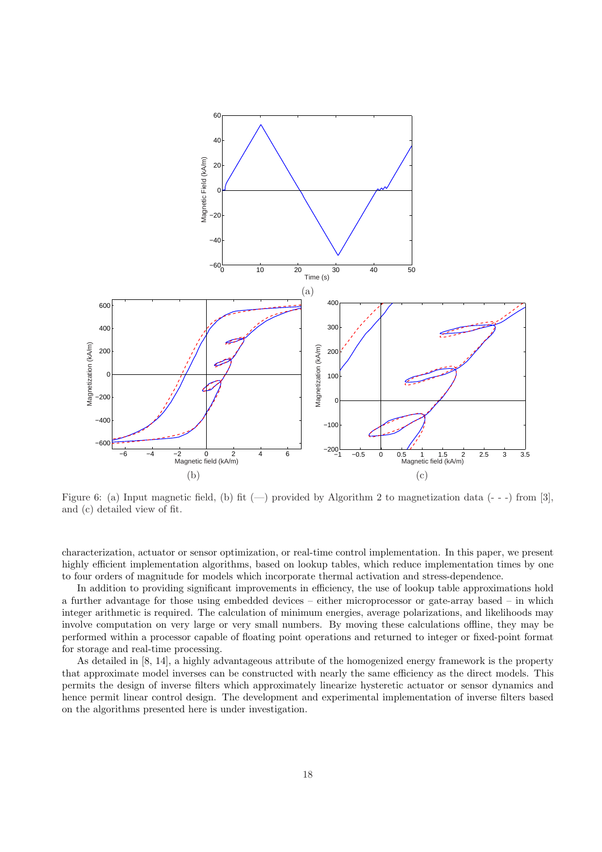

Figure 6: (a) Input magnetic field, (b) fit  $(-)$  provided by Algorithm 2 to magnetization data (---) from [3], and (c) detailed view of fit.

characterization, actuator or sensor optimization, or real-time control implementation. In this paper, we present highly efficient implementation algorithms, based on lookup tables, which reduce implementation times by one to four orders of magnitude for models which incorporate thermal activation and stress-dependence.

In addition to providing significant improvements in efficiency, the use of lookup table approximations hold a further advantage for those using embedded devices – either microprocessor or gate-array based – in which integer arithmetic is required. The calculation of minimum energies, average polarizations, and likelihoods may involve computation on very large or very small numbers. By moving these calculations offline, they may be performed within a processor capable of floating point operations and returned to integer or fixed-point format for storage and real-time processing.

As detailed in [8, 14], a highly advantageous attribute of the homogenized energy framework is the property that approximate model inverses can be constructed with nearly the same efficiency as the direct models. This permits the design of inverse filters which approximately linearize hysteretic actuator or sensor dynamics and hence permit linear control design. The development and experimental implementation of inverse filters based on the algorithms presented here is under investigation.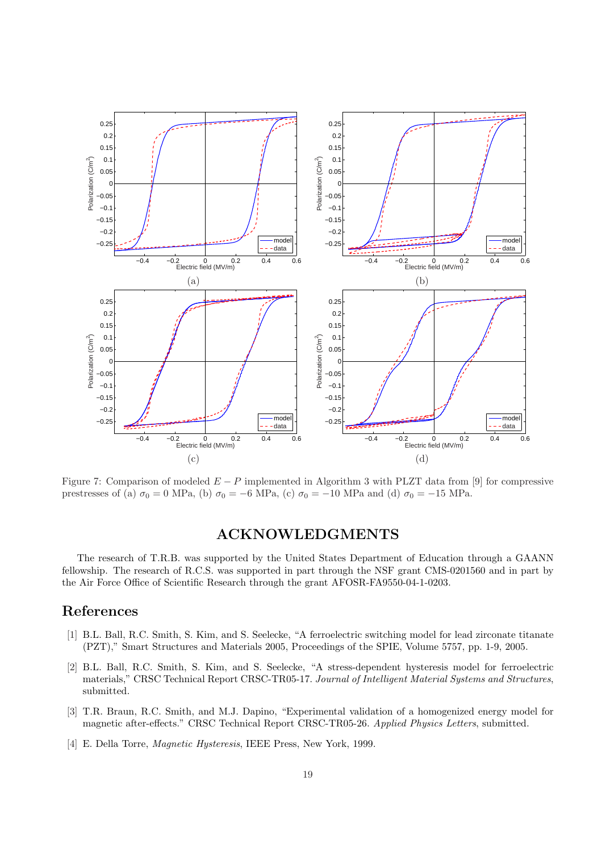

Figure 7: Comparison of modeled  $E - P$  implemented in Algorithm 3 with PLZT data from [9] for compressive prestresses of (a)  $\sigma_0 = 0$  MPa, (b)  $\sigma_0 = -6$  MPa, (c)  $\sigma_0 = -10$  MPa and (d)  $\sigma_0 = -15$  MPa.

# ACKNOWLEDGMENTS

The research of T.R.B. was supported by the United States Department of Education through a GAANN fellowship. The research of R.C.S. was supported in part through the NSF grant CMS-0201560 and in part by the Air Force Office of Scientific Research through the grant AFOSR-FA9550-04-1-0203.

# References

- [1] B.L. Ball, R.C. Smith, S. Kim, and S. Seelecke, "A ferroelectric switching model for lead zirconate titanate (PZT)," Smart Structures and Materials 2005, Proceedings of the SPIE, Volume 5757, pp. 1-9, 2005.
- [2] B.L. Ball, R.C. Smith, S. Kim, and S. Seelecke, "A stress-dependent hysteresis model for ferroelectric materials," CRSC Technical Report CRSC-TR05-17. Journal of Intelligent Material Systems and Structures, submitted.
- [3] T.R. Braun, R.C. Smith, and M.J. Dapino, "Experimental validation of a homogenized energy model for magnetic after-effects." CRSC Technical Report CRSC-TR05-26. Applied Physics Letters, submitted.
- [4] E. Della Torre, *Magnetic Hysteresis*, IEEE Press, New York, 1999.